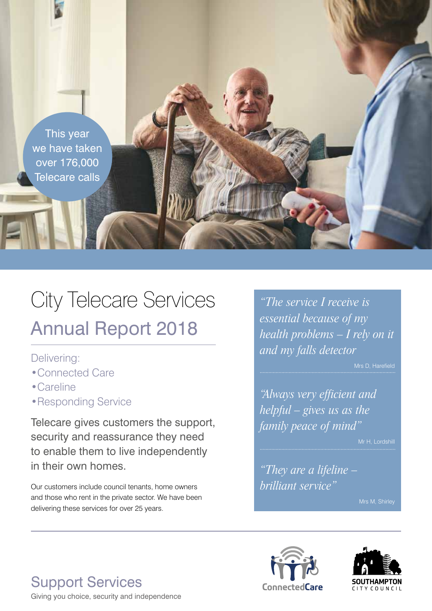

# City Telecare Services Annual Report 2018

#### Delivering:

- •Connected Care
- •Careline
- •Responding Service

Telecare gives customers the support, security and reassurance they need to enable them to live independently in their own homes.

Our customers include council tenants, home owners and those who rent in the private sector. We have been delivering these services for over 25 years.

*"The service I receive is essential because of my health problems – I rely on it and my falls detector*

Mrs D, Harefield

*"Always very efficient and helpful – gives us as the family peace of mind"* 

Mr H, Lordshill

*"They are a lifeline – brilliant service"* 





**Support Services ConnectedCare** Giving you choice, security and independence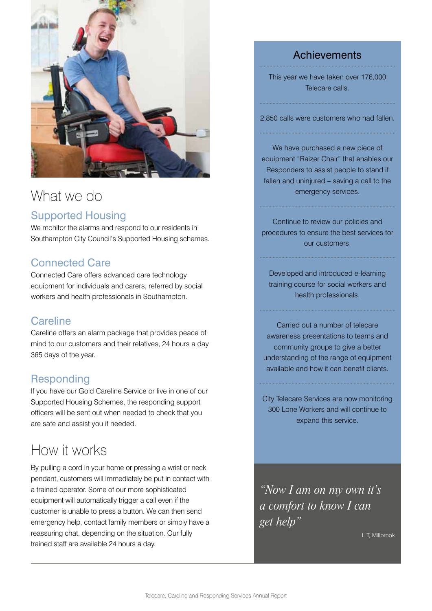

## What we do

## Supported Housing

We monitor the alarms and respond to our residents in Southampton City Council's Supported Housing schemes.

#### Connected Care

Connected Care offers advanced care technology equipment for individuals and carers, referred by social workers and health professionals in Southampton.

#### **Careline**

Careline offers an alarm package that provides peace of mind to our customers and their relatives, 24 hours a day 365 days of the year.

## **Responding**

If you have our Gold Careline Service or live in one of our Supported Housing Schemes, the responding support officers will be sent out when needed to check that you are safe and assist you if needed.

## How it works

By pulling a cord in your home or pressing a wrist or neck pendant, customers will immediately be put in contact with a trained operator. Some of our more sophisticated equipment will automatically trigger a call even if the customer is unable to press a button. We can then send emergency help, contact family members or simply have a reassuring chat, depending on the situation. Our fully trained staff are available 24 hours a day.

## **Achievements**

This year we have taken over 176,000 Telecare calls.

2,850 calls were customers who had fallen.

We have purchased a new piece of equipment "Raizer Chair" that enables our Responders to assist people to stand if fallen and uninjured – saving a call to the emergency services.

Continue to review our policies and procedures to ensure the best services for our customers.

Developed and introduced e-learning training course for social workers and health professionals.

Carried out a number of telecare awareness presentations to teams and community groups to give a better understanding of the range of equipment available and how it can benefit clients.

City Telecare Services are now monitoring 300 Lone Workers and will continue to expand this service.

*"Now I am on my own it's a comfort to know I can get help"* 

L T, Millbrook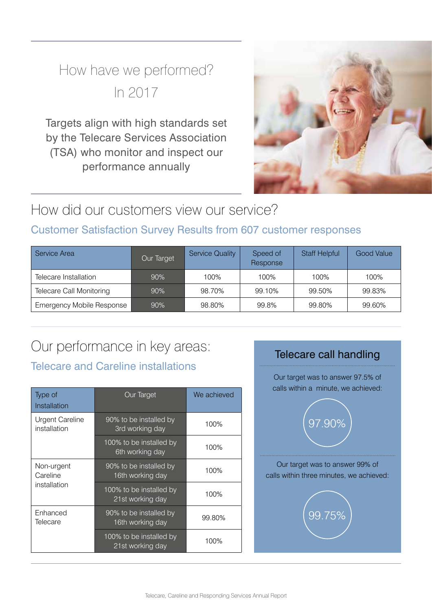## How have we performed? In 2017

Targets align with high standards set by the Telecare Services Association (TSA) who monitor and inspect our performance annually



## How did our customers view our service?

## Customer Satisfaction Survey Results from 607 customer responses

| Service Area                     | Our Target | <b>Service Quality</b> | Speed of<br>Response | <b>Staff Helpful</b> | <b>Good Value</b> |
|----------------------------------|------------|------------------------|----------------------|----------------------|-------------------|
| Telecare Installation            | 90%        | 100%                   | 100%                 | 100%                 | 100%              |
| Telecare Call Monitoring         | 90%        | 98.70%                 | 99.10%               | 99.50%               | 99.83%            |
| <b>Emergency Mobile Response</b> | $90\%$     | 98.80%                 | 99.8%                | 99.80%               | 99.60%            |

# Our performance in key areas:<br>Telecare call handling

## Telecare and Careline installations

| Type of<br>Installation                | Our Target                                  | We achieved |
|----------------------------------------|---------------------------------------------|-------------|
| <b>Urgent Careline</b><br>installation | 90% to be installed by<br>3rd working day   | 100%        |
|                                        | 100% to be installed by<br>6th working day  | 100%        |
| Non-urgent<br>Careline<br>installation | 90% to be installed by<br>16th working day  | 100%        |
|                                        | 100% to be installed by<br>21st working day | 100%        |
| Enhanced<br>Telecare                   | 90% to be installed by<br>16th working day  | 99.80%      |
|                                        | 100% to be installed by<br>21st working day | 100%        |